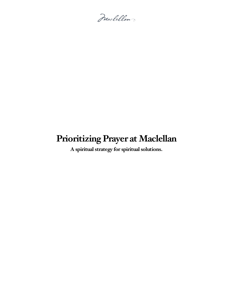Maclellan

# **PrioritizingPrayer at Maclellan**

**A spiritual strategy for spiritual solutions.**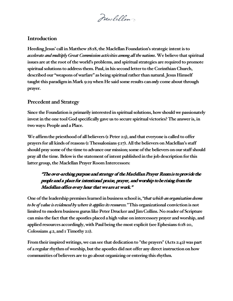Maclellan

#### **Introduction**

**Heeding Jesus' call inMatthew28:18,theMaclellanFoundation's strategic intentis to** *accelerate and multiply Great Commission activities among allthe nations***.We believe that spiritual issues are atthe root ofthe world's problems, and spiritual strategies are required to promote spiritual solutions to address them.Paul, in his second letter to the Corinthian Church, described our "weapons of warfare" as being spiritual rather than natural. JesusHimself taught this paradigm in Mark** 9:29 when He said some results can *only* come about through **prayer.**

## **Precedent and Strategy**

**Since theFoundation is primarily interested in spiritual solutions, howshould we passionately investin the one tool God specifically gave us to secure spiritual victories? The answer is, in two** ways: People and a Place.

**We affirmthe priesthood of all believers (1Peter 2:5), and that everyone is called to offer prayers for all kinds of reasons (1 Thessalonians 5:17). Allthe believers onMaclellan's staff should pray some ofthe time to advance our mission; some ofthe believers on our staff should pray allthe time. Belowis the statement ofintent published in the job description for this** latter group, the Maclellan Prayer Room Intercessors:

## **"The over-arching purpose and strategy of the Maclellan Prayer Room is to provide the people and a place for intentional praise, prayer, and worship to be rising from the Maclellan office every hour that we are at work."**

**One ofthe leadership premises learned in business school is, "***that which an organization deems to be of value is evidenced by where it applies its resources.*" This organizational conviction is not **limited to modern business gurus likePeter Drucker and JimCollins. No reader of Scripture can miss the factthatthe apostles placed a high value on intercessory prayer and worship, and applied resources accordingly, with Paul being the most explicit(see Ephesians 6:18-20, Colossians 4:2, and 1 Timothy 2:1).**

**Fromtheir inspired writings, we can see that dedication to "the prayers" (Acts 2:42) was part of a regular rhythmof worship, butthe apostles did not offer any directinstruction on how communities of believers are to go about organizing or entering this rhythm.**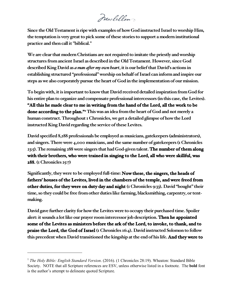Maclellan

**Since the Old Testamentis ripe with examples of howGod instructed Israelto worship Him, the temptation** is very great to pick some of these stories to support a modern institutional **practice and then call it "biblical."**

**We are clear that modern Christians are not required to imitate the priestly and worship structures fromancient Israel as described in the Old Testament. However, since God described King David as** *a man after my own heart***, itis our beliefthat David's actions in establishing structured "professional"worship on behalf of Israel can informand inspire our steps aswe also corporately pursue the heart of God in the implementation of our mission.**

**To beginwith, itis importantto knowthat David received detailed inspiration fromGod for his entire plan to organize and compensate professional intercessors (in this case,theLevites). "All this he made clear to me in writing from the hand of the Lord, all the work to be done according to the plan.["1](#page-2-0) Thiswas an idea fromthe heart of God and not merely a human construct. Throughout 1Chronicles, we get a detailed glimpse of howtheLord instructed King David regarding the service oftheseLevites.**

**David specified 8,288 professionals be employed as musicians, gatekeepers (administrators), and singers. There were 4,000 musicians, and the same number of gatekeepers (1Chronicles 23:5). The remaining 288were singers that had God-given talent. The number of them along with their brothers, who were trained in singing to the Lord, all who were skillful, was 288. (1Chronicles 25:7)**

**Significantly,they were to be employed full-time: Now these, the singers, the heads of fathers' houses of the Levites, lived in the chambers of the temple, and were freed from other duties, for they were on duty day and night (1Chronicles 9:33). David "bought" their time, so they could be free fromother duties like farming, blacksmithing, carpentry, or tentmaking.** 

**David gave further clarity for howtheLeviteswere to occupy their purchased time. Spoiler alert: it sounds a lotlike our prayer roomintercessor job description. Then he appointed some of the Levites as ministers before the ark of the Lord, to invoke, to thank, and to praise the Lord, the God of Israel (1Chronicles 16:4). David instructed Solomon to follow this precedent when David transitioned the kingship atthe end of his life. And they were to** 

 $\overline{a}$ 

<span id="page-2-0"></span><sup>&</sup>lt;sup>1</sup> The Holy Bible: English Standard Version. (2016). (1 Chronicles 28:19). Wheaton: Standard Bible Society. NOTE that all Scripture references are ESV, unless otherwise listed in a footnote. The **bold** font is the author's attempt to delineate quoted Scripture.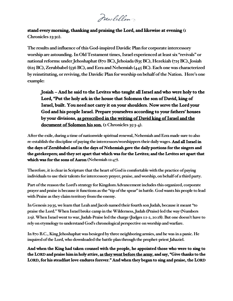Maclellan

## **stand every morning, thanking and praising the Lord, and likewise at evening (1 Chronicles 23:30).**

**The results and influence ofthis God-inspired DavidicPlan for corporate intercessory worship** are astounding. In Old Testament times, Israel experienced at least six "revivals" or **national reforms: under Jehoshaphat(870 BC), Jehoiada (835 BC), Hezekiah (725 BC), Josiah (625 BC), Zerubbabel (536 BC), and Ezra and Nehemiah (445 BC). Each one was characterized by reinstituting, or reviving,the DavidicPlan forworship on behalf ofthe Nation. Here's one example:**

**Josiah – And he said to the Levites who taught all Israel and who were holy to the Lord, "Put the holy ark in the house that Solomon the son of David, king of Israel, built. You need not carry it on your shoulders. Now serve the Lord your God and his people Israel. Prepare yourselves according to your fathers' houses by your divisions, as prescribed in the writing of David king of Israel and the document of Solomon his son. (2 Chronicles 35:3-4).**

**After the exile, during a time of nationwide spiritual renewal, Nehemiah and Ezra made sure to also re-establish the discipline of paying the intercessors/worshippers theirdailywages.And all Israel in the days of Zerubbabel and in the days of Nehemiah gave the daily portions for the singers and the gatekeepers; and they set apart that which was for the Levites; and the Levites set apart that which was for the sons of Aaron (Nehemiah 12:47).**

**Therefore, it is clear in Scripture that the heart of God is comfortable with the practice of paying individuals to use their talents for intercessory prayer, praise, and worship, on behalf of a third party.**

Part of the reason the Lord's strategy for Kingdom Advancement includes this organized, corporate **prayer and praise is because it functions as the "tip of the spear" in battle. God wants his people to lead with Praise as they claim territory from the enemy.**

**In Genesis 29:35, we learn that Leah and Jacob named their fourth son Judah, because it meant "to praise the Lord." When Israel broke camp in the Wilderness, Judah (Praise) led the way (Numbers 2:9). When Israel went to war, Judah-Praise led the charge (Judges 1:1-2, 20:18). But one doesn't have to rely on etymology to understand God's chronological perspective on worship and warfare.**

**In 870 B.C., King Jehoshaphat was besieged by three neighboring armies, and he was in a panic. He inquired of the Lord, who downloaded the battle plan through the prophet-priest Jahaziel.**

**And when the King had taken counsel with the people, he appointed those who were to sing to the LORD and praise him in holy attire, as they went before the army, and say, "Give thanks to the LORD, for his steadfast love endures forever." And when they began to sing and praise, the LORD**